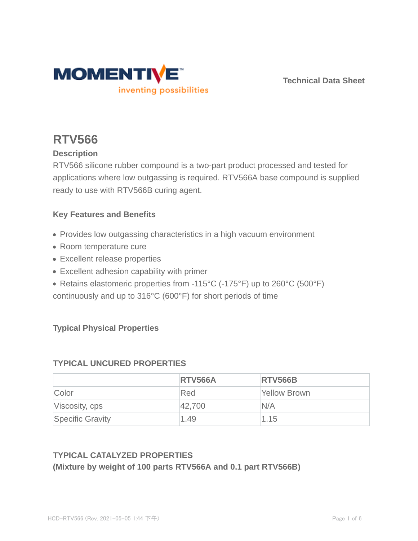

**Technical Data Sheet**

# **RTV566**

## **Description**

RTV566 silicone rubber compound is a two-part product processed and tested for applications where low outgassing is required. RTV566A base compound is supplied ready to use with RTV566B curing agent.

## **Key Features and Benefits**

- Provides low outgassing characteristics in a high vacuum environment
- Room temperature cure
- Excellent release properties
- Excellent adhesion capability with primer
- Retains elastomeric properties from -115°C (-175°F) up to 260°C (500°F)
- continuously and up to 316°C (600°F) for short periods of time

## **Typical Physical Properties**

## **TYPICAL UNCURED PROPERTIES**

|                         | <b>RTV566A</b> | <b>RTV566B</b> |
|-------------------------|----------------|----------------|
| Color                   | Red            | Yellow Brown   |
| Viscosity, cps          | 42,700         | N/A            |
| <b>Specific Gravity</b> | 1.49           | 1.15           |

## **TYPICAL CATALYZED PROPERTIES**

#### **(Mixture by weight of 100 parts RTV566A and 0.1 part RTV566B)**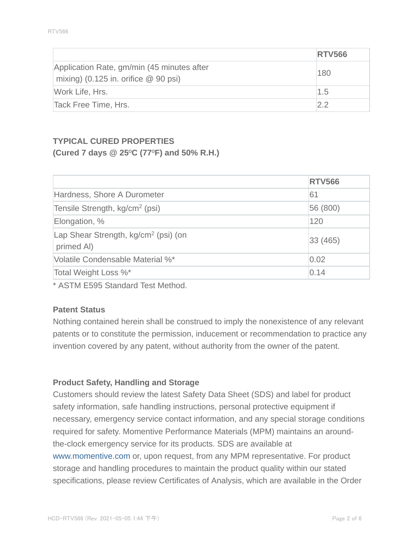|                                                                                      | <b>RTV566</b> |
|--------------------------------------------------------------------------------------|---------------|
| Application Rate, gm/min (45 minutes after<br>mixing) (0.125 in. orifice $@$ 90 psi) | 180           |
| Work Life, Hrs.                                                                      | 1.5           |
| Tack Free Time, Hrs.                                                                 | 22            |

## **TYPICAL CURED PROPERTIES (Cured 7 days @ 25**º**C (77**º**F) and 50% R.H.)**

|                                                                | <b>RTV566</b> |
|----------------------------------------------------------------|---------------|
| Hardness, Shore A Durometer                                    | 61            |
| Tensile Strength, kg/cm <sup>2</sup> (psi)                     | 56 (800)      |
| Elongation, %                                                  | 120           |
| Lap Shear Strength, kg/cm <sup>2</sup> (psi) (on<br>primed AI) | 33(465)       |
| Volatile Condensable Material %*                               | 0.02          |
| Total Weight Loss %*                                           | 0.14          |

\* ASTM E595 Standard Test Method.

#### **Patent Status**

Nothing contained herein shall be construed to imply the nonexistence of any relevant patents or to constitute the permission, inducement or recommendation to practice any invention covered by any patent, without authority from the owner of the patent.

## **Product Safety, Handling and Storage**

Customers should review the latest Safety Data Sheet (SDS) and label for product safety information, safe handling instructions, personal protective equipment if necessary, emergency service contact information, and any special storage conditions required for safety. Momentive Performance Materials (MPM) maintains an aroundthe-clock emergency service for its products. SDS are available at www.momentive.com or, upon request, from any MPM representative. For product storage and handling procedures to maintain the product quality within our stated specifications, please review Certificates of Analysis, which are available in the Order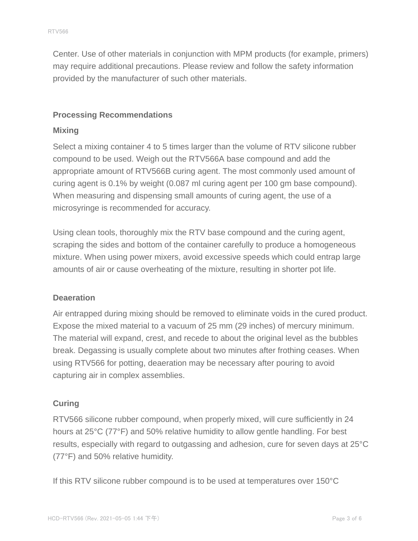Center. Use of other materials in conjunction with MPM products (for example, primers) may require additional precautions. Please review and follow the safety information provided by the manufacturer of such other materials.

#### **Processing Recommendations**

#### **Mixing**

Select a mixing container 4 to 5 times larger than the volume of RTV silicone rubber compound to be used. Weigh out the RTV566A base compound and add the appropriate amount of RTV566B curing agent. The most commonly used amount of curing agent is 0.1% by weight (0.087 ml curing agent per 100 gm base compound). When measuring and dispensing small amounts of curing agent, the use of a microsyringe is recommended for accuracy.

Using clean tools, thoroughly mix the RTV base compound and the curing agent, scraping the sides and bottom of the container carefully to produce a homogeneous mixture. When using power mixers, avoid excessive speeds which could entrap large amounts of air or cause overheating of the mixture, resulting in shorter pot life.

#### **Deaeration**

Air entrapped during mixing should be removed to eliminate voids in the cured product. Expose the mixed material to a vacuum of 25 mm (29 inches) of mercury minimum. The material will expand, crest, and recede to about the original level as the bubbles break. Degassing is usually complete about two minutes after frothing ceases. When using RTV566 for potting, deaeration may be necessary after pouring to avoid capturing air in complex assemblies.

#### **Curing**

RTV566 silicone rubber compound, when properly mixed, will cure sufficiently in 24 hours at 25°C (77°F) and 50% relative humidity to allow gentle handling. For best results, especially with regard to outgassing and adhesion, cure for seven days at 25°C (77°F) and 50% relative humidity.

If this RTV silicone rubber compound is to be used at temperatures over 150°C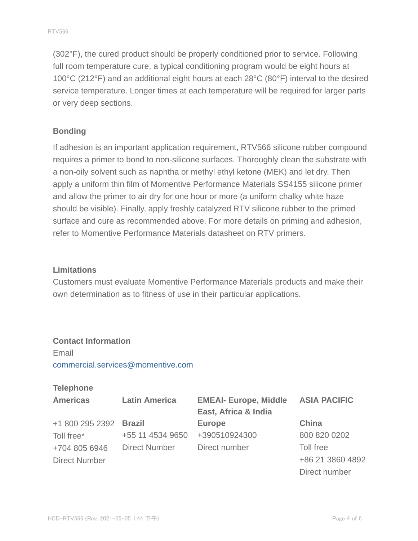(302°F), the cured product should be properly conditioned prior to service. Following full room temperature cure, a typical conditioning program would be eight hours at 100°C (212°F) and an additional eight hours at each 28°C (80°F) interval to the desired service temperature. Longer times at each temperature will be required for larger parts or very deep sections.

#### **Bonding**

If adhesion is an important application requirement, RTV566 silicone rubber compound requires a primer to bond to non-silicone surfaces. Thoroughly clean the substrate with a non-oily solvent such as naphtha or methyl ethyl ketone (MEK) and let dry. Then apply a uniform thin film of Momentive Performance Materials SS4155 silicone primer and allow the primer to air dry for one hour or more (a uniform chalky white haze should be visible). Finally, apply freshly catalyzed RTV silicone rubber to the primed surface and cure as recommended above. For more details on priming and adhesion, refer to Momentive Performance Materials datasheet on RTV primers.

#### **Limitations**

Customers must evaluate Momentive Performance Materials products and make their own determination as to fitness of use in their particular applications.

#### **Contact Information**

Email commercial.services@momentive.com

#### **Telephone**

| <b>Americas</b>      | <b>Latin America</b> | <b>EMEAI- Europe, Middle</b> | <b>ASIA PACIFIC</b> |
|----------------------|----------------------|------------------------------|---------------------|
|                      |                      | East, Africa & India         |                     |
| +1 800 295 2392      | <b>Brazil</b>        | <b>Europe</b>                | China               |
| Toll free*           | +55 11 4534 9650     | +390510924300                | 800 820 0202        |
| +704 805 6946        | <b>Direct Number</b> | Direct number                | Toll free           |
| <b>Direct Number</b> |                      |                              | +86 21 3860 4892    |
|                      |                      |                              | Direct number       |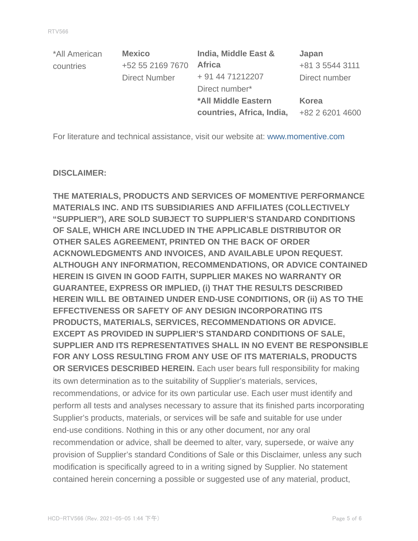| *All American | <b>Mexico</b>        | India, Middle East &      | Japan           |
|---------------|----------------------|---------------------------|-----------------|
| countries     | +52 55 2169 7670     | <b>Africa</b>             | +81 3 5544 3111 |
|               | <b>Direct Number</b> | + 91 44 71212207          | Direct number   |
|               |                      | Direct number*            |                 |
|               |                      | *All Middle Eastern       | <b>Korea</b>    |
|               |                      | countries, Africa, India, | +82 2 6201 4600 |

For literature and technical assistance, visit our website at: www.momentive.com

#### **DISCLAIMER:**

**THE MATERIALS, PRODUCTS AND SERVICES OF MOMENTIVE PERFORMANCE MATERIALS INC. AND ITS SUBSIDIARIES AND AFFILIATES (COLLECTIVELY "SUPPLIER"), ARE SOLD SUBJECT TO SUPPLIER'S STANDARD CONDITIONS OF SALE, WHICH ARE INCLUDED IN THE APPLICABLE DISTRIBUTOR OR OTHER SALES AGREEMENT, PRINTED ON THE BACK OF ORDER ACKNOWLEDGMENTS AND INVOICES, AND AVAILABLE UPON REQUEST. ALTHOUGH ANY INFORMATION, RECOMMENDATIONS, OR ADVICE CONTAINED HEREIN IS GIVEN IN GOOD FAITH, SUPPLIER MAKES NO WARRANTY OR GUARANTEE, EXPRESS OR IMPLIED, (i) THAT THE RESULTS DESCRIBED HEREIN WILL BE OBTAINED UNDER END-USE CONDITIONS, OR (ii) AS TO THE EFFECTIVENESS OR SAFETY OF ANY DESIGN INCORPORATING ITS PRODUCTS, MATERIALS, SERVICES, RECOMMENDATIONS OR ADVICE. EXCEPT AS PROVIDED IN SUPPLIER'S STANDARD CONDITIONS OF SALE, SUPPLIER AND ITS REPRESENTATIVES SHALL IN NO EVENT BE RESPONSIBLE FOR ANY LOSS RESULTING FROM ANY USE OF ITS MATERIALS, PRODUCTS OR SERVICES DESCRIBED HEREIN.** Each user bears full responsibility for making its own determination as to the suitability of Supplier's materials, services, recommendations, or advice for its own particular use. Each user must identify and perform all tests and analyses necessary to assure that its finished parts incorporating Supplier's products, materials, or services will be safe and suitable for use under end-use conditions. Nothing in this or any other document, nor any oral recommendation or advice, shall be deemed to alter, vary, supersede, or waive any provision of Supplier's standard Conditions of Sale or this Disclaimer, unless any such modification is specifically agreed to in a writing signed by Supplier. No statement contained herein concerning a possible or suggested use of any material, product,